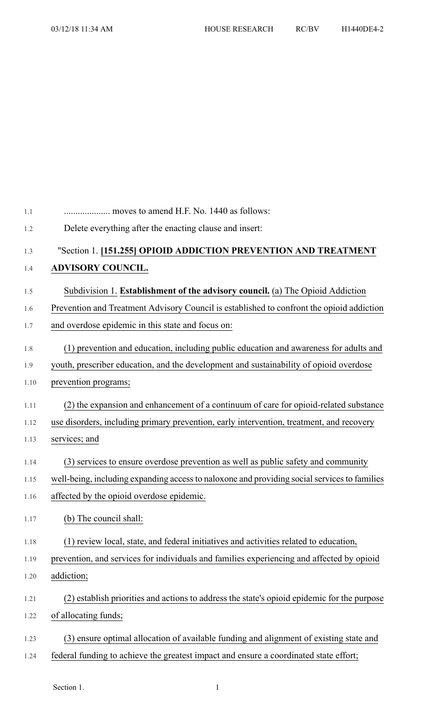| moves to amend H.F. No. 1440 as follows:                                                     |
|----------------------------------------------------------------------------------------------|
| Delete everything after the enacting clause and insert:                                      |
| "Section 1. [151.255] OPIOID ADDICTION PREVENTION AND TREATMENT                              |
| <b>ADVISORY COUNCIL.</b>                                                                     |
| Subdivision 1. Establishment of the advisory council. (a) The Opioid Addiction               |
| Prevention and Treatment Advisory Council is established to confront the opioid addiction    |
| and overdose epidemic in this state and focus on:                                            |
| (1) prevention and education, including public education and awareness for adults and        |
| youth, prescriber education, and the development and sustainability of opioid overdose       |
| prevention programs;                                                                         |
| (2) the expansion and enhancement of a continuum of care for opioid-related substance        |
| use disorders, including primary prevention, early intervention, treatment, and recovery     |
| services; and                                                                                |
| (3) services to ensure overdose prevention as well as public safety and community            |
| well-being, including expanding access to naloxone and providing social services to families |
| affected by the opioid overdose epidemic.                                                    |
| (b) The council shall:                                                                       |
| (1) review local, state, and federal initiatives and activities related to education,        |
| prevention, and services for individuals and families experiencing and affected by opioid    |
| addiction;                                                                                   |
| (2) establish priorities and actions to address the state's opioid epidemic for the purpose  |
| of allocating funds;                                                                         |
| (3) ensure optimal allocation of available funding and alignment of existing state and       |
| federal funding to achieve the greatest impact and ensure a coordinated state effort;        |

Section 1. 1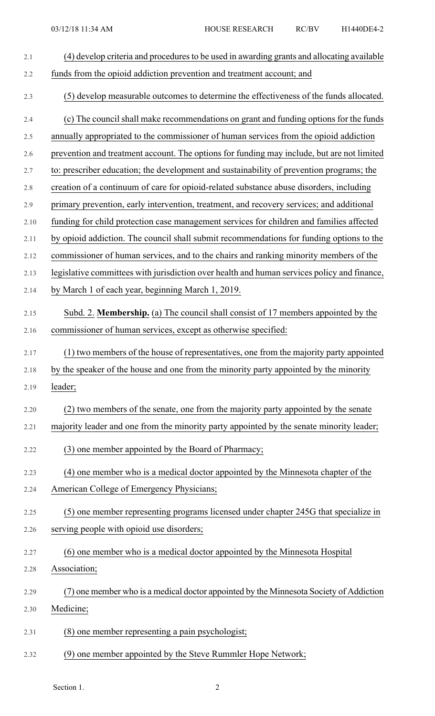| 2.1  | (4) develop criteria and procedures to be used in awarding grants and allocating available  |
|------|---------------------------------------------------------------------------------------------|
| 2.2  | funds from the opioid addiction prevention and treatment account; and                       |
| 2.3  | (5) develop measurable outcomes to determine the effectiveness of the funds allocated.      |
| 2.4  | (c) The council shall make recommendations on grant and funding options for the funds       |
| 2.5  | annually appropriated to the commissioner of human services from the opioid addiction       |
| 2.6  | prevention and treatment account. The options for funding may include, but are not limited  |
| 2.7  | to: prescriber education; the development and sustainability of prevention programs; the    |
| 2.8  | creation of a continuum of care for opioid-related substance abuse disorders, including     |
| 2.9  | primary prevention, early intervention, treatment, and recovery services; and additional    |
| 2.10 | funding for child protection case management services for children and families affected    |
| 2.11 | by opioid addiction. The council shall submit recommendations for funding options to the    |
| 2.12 | commissioner of human services, and to the chairs and ranking minority members of the       |
| 2.13 | legislative committees with jurisdiction over health and human services policy and finance, |
| 2.14 | by March 1 of each year, beginning March 1, 2019.                                           |
| 2.15 | Subd. 2. <b>Membership.</b> (a) The council shall consist of 17 members appointed by the    |
| 2.16 | commissioner of human services, except as otherwise specified:                              |
| 2.17 | (1) two members of the house of representatives, one from the majority party appointed      |
| 2.18 | by the speaker of the house and one from the minority party appointed by the minority       |
| 2.19 | leader;                                                                                     |
| 2.20 | (2) two members of the senate, one from the majority party appointed by the senate          |
| 2.21 | majority leader and one from the minority party appointed by the senate minority leader;    |
| 2.22 | (3) one member appointed by the Board of Pharmacy;                                          |
| 2.23 | (4) one member who is a medical doctor appointed by the Minnesota chapter of the            |
| 2.24 | American College of Emergency Physicians;                                                   |
| 2.25 | (5) one member representing programs licensed under chapter 245G that specialize in         |
| 2.26 | serving people with opioid use disorders;                                                   |
| 2.27 | (6) one member who is a medical doctor appointed by the Minnesota Hospital                  |
| 2.28 | Association;                                                                                |
| 2.29 | one member who is a medical doctor appointed by the Minnesota Society of Addiction          |
| 2.30 | Medicine;                                                                                   |
| 2.31 | (8) one member representing a pain psychologist;                                            |
| 2.32 | (9) one member appointed by the Steve Rummler Hope Network;                                 |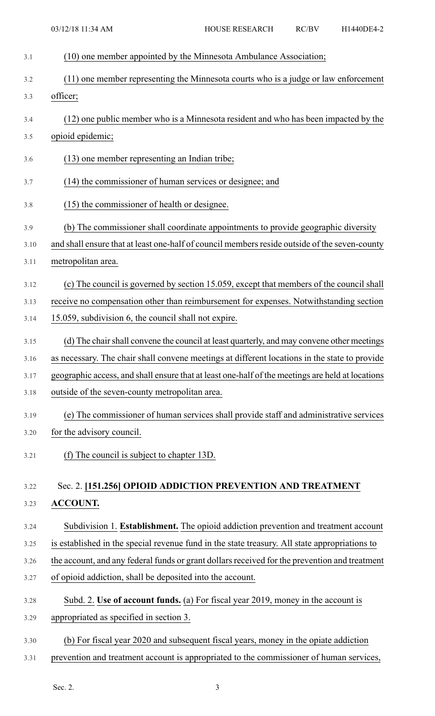| 3.1  | (10) one member appointed by the Minnesota Ambulance Association;                                |
|------|--------------------------------------------------------------------------------------------------|
| 3.2  | (11) one member representing the Minnesota courts who is a judge or law enforcement              |
| 3.3  | officer;                                                                                         |
| 3.4  | (12) one public member who is a Minnesota resident and who has been impacted by the              |
| 3.5  | opioid epidemic;                                                                                 |
| 3.6  | (13) one member representing an Indian tribe;                                                    |
| 3.7  | (14) the commissioner of human services or designee; and                                         |
| 3.8  | (15) the commissioner of health or designee.                                                     |
| 3.9  | (b) The commissioner shall coordinate appointments to provide geographic diversity               |
| 3.10 | and shall ensure that at least one-half of council members reside outside of the seven-county    |
| 3.11 | metropolitan area.                                                                               |
| 3.12 | (c) The council is governed by section 15.059, except that members of the council shall          |
| 3.13 | receive no compensation other than reimbursement for expenses. Notwithstanding section           |
| 3.14 | 15.059, subdivision 6, the council shall not expire.                                             |
| 3.15 | (d) The chair shall convene the council at least quarterly, and may convene other meetings       |
| 3.16 | as necessary. The chair shall convene meetings at different locations in the state to provide    |
| 3.17 | geographic access, and shall ensure that at least one-half of the meetings are held at locations |
| 3.18 | outside of the seven-county metropolitan area.                                                   |
| 3.19 | (e) The commissioner of human services shall provide staff and administrative services           |
| 3.20 | for the advisory council.                                                                        |
| 3.21 | (f) The council is subject to chapter 13D.                                                       |
| 3.22 | Sec. 2. [151.256] OPIOID ADDICTION PREVENTION AND TREATMENT                                      |
| 3.23 | <b>ACCOUNT.</b>                                                                                  |
| 3.24 | Subdivision 1. Establishment. The opioid addiction prevention and treatment account              |
| 3.25 | is established in the special revenue fund in the state treasury. All state appropriations to    |
| 3.26 | the account, and any federal funds or grant dollars received for the prevention and treatment    |
| 3.27 | of opioid addiction, shall be deposited into the account.                                        |
| 3.28 | Subd. 2. Use of account funds. (a) For fiscal year 2019, money in the account is                 |
| 3.29 | appropriated as specified in section 3.                                                          |
| 3.30 | (b) For fiscal year 2020 and subsequent fiscal years, money in the opiate addiction              |
| 3.31 | prevention and treatment account is appropriated to the commissioner of human services,          |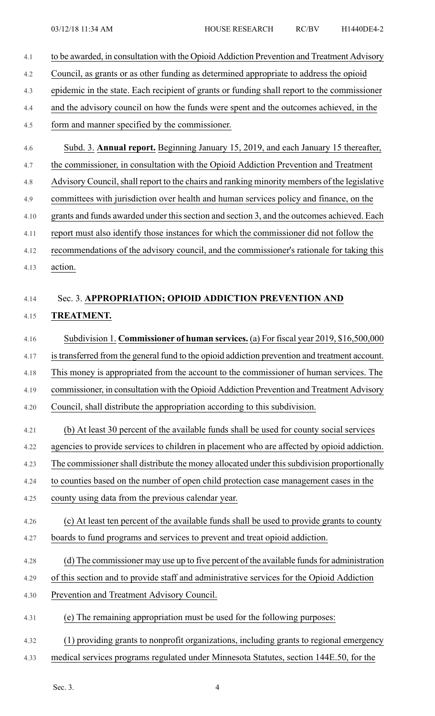4.1 to be awarded, in consultation with the Opioid Addiction Prevention and Treatment Advisory 4.2 Council, as grants or as other funding as determined appropriate to address the opioid 4.3 epidemic in the state. Each recipient of grants or funding shall report to the commissioner 4.4 and the advisory council on how the funds were spent and the outcomes achieved, in the 4.5 form and manner specified by the commissioner. 4.6 Subd. 3. **Annual report.** Beginning January 15, 2019, and each January 15 thereafter, 4.7 the commissioner, in consultation with the Opioid Addiction Prevention and Treatment 4.8 Advisory Council,shall report to the chairs and ranking minority members of the legislative 4.9 committees with jurisdiction over health and human services policy and finance, on the 4.10 grants and funds awarded under thissection and section 3, and the outcomes achieved. Each 4.11 report must also identify those instances for which the commissioner did not follow the 4.12 recommendations of the advisory council, and the commissioner's rationale for taking this 4.13 action. 4.14 Sec. 3. **APPROPRIATION; OPIOID ADDICTION PREVENTION AND** 4.15 **TREATMENT.** 4.16 Subdivision 1. **Commissioner of human services.** (a) For fiscal year 2019, \$16,500,000 4.17 istransferred from the general fund to the opioid addiction prevention and treatment account. 4.18 This money is appropriated from the account to the commissioner of human services. The 4.19 commissioner, in consultation with the Opioid Addiction Prevention and Treatment Advisory 4.20 Council, shall distribute the appropriation according to this subdivision. 4.21 (b) At least 30 percent of the available funds shall be used for county social services 4.22 agencies to provide services to children in placement who are affected by opioid addiction. 4.23 The commissioner shall distribute the money allocated under this subdivision proportionally 4.24 to counties based on the number of open child protection case management cases in the 4.25 county using data from the previous calendar year. 4.26 (c) At least ten percent of the available funds shall be used to provide grants to county 4.27 boards to fund programs and services to prevent and treat opioid addiction. 4.28 (d) The commissioner may use up to five percent of the available funds for administration 4.29 of this section and to provide staff and administrative services for the Opioid Addiction 4.30 Prevention and Treatment Advisory Council. 4.31 (e) The remaining appropriation must be used for the following purposes: 4.32 (1) providing grants to nonprofit organizations, including grants to regional emergency 4.33 medical services programs regulated under Minnesota Statutes, section 144E.50, for the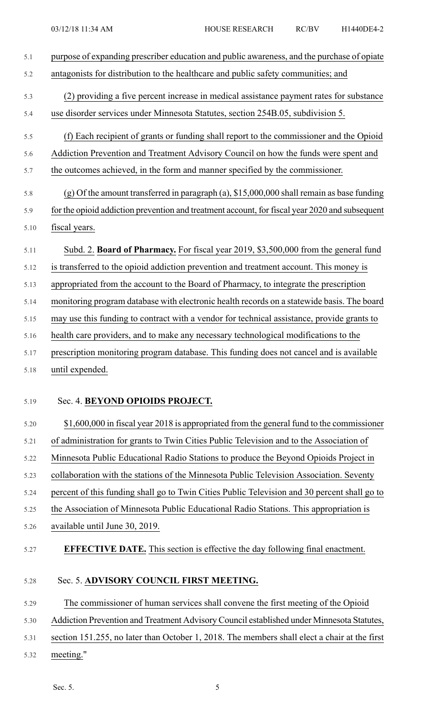| 5.1  | purpose of expanding prescriber education and public awareness, and the purchase of opiate     |
|------|------------------------------------------------------------------------------------------------|
| 5.2  | antagonists for distribution to the healthcare and public safety communities; and              |
| 5.3  | (2) providing a five percent increase in medical assistance payment rates for substance        |
| 5.4  | use disorder services under Minnesota Statutes, section 254B.05, subdivision 5.                |
| 5.5  | (f) Each recipient of grants or funding shall report to the commissioner and the Opioid        |
| 5.6  | Addiction Prevention and Treatment Advisory Council on how the funds were spent and            |
| 5.7  | the outcomes achieved, in the form and manner specified by the commissioner.                   |
| 5.8  | $(g)$ Of the amount transferred in paragraph (a), \$15,000,000 shall remain as base funding    |
| 5.9  | for the opioid addiction prevention and treatment account, for fiscal year 2020 and subsequent |
| 5.10 | fiscal years.                                                                                  |
| 5.11 | Subd. 2. Board of Pharmacy. For fiscal year 2019, \$3,500,000 from the general fund            |
| 5.12 | is transferred to the opioid addiction prevention and treatment account. This money is         |
| 5.13 | appropriated from the account to the Board of Pharmacy, to integrate the prescription          |
| 5.14 | monitoring program database with electronic health records on a statewide basis. The board     |
| 5.15 | may use this funding to contract with a vendor for technical assistance, provide grants to     |
| 5.16 | health care providers, and to make any necessary technological modifications to the            |
| 5.17 | prescription monitoring program database. This funding does not cancel and is available        |
| 5.18 | until expended.                                                                                |
| 5.19 | Sec. 4. BEYOND OPIOIDS PROJECT.                                                                |
| 5.20 | \$1,600,000 in fiscal year 2018 is appropriated from the general fund to the commissioner      |
| 5.21 | of administration for grants to Twin Cities Public Television and to the Association of        |
| 5.22 | Minnesota Public Educational Radio Stations to produce the Beyond Opioids Project in           |
| 5.23 | collaboration with the stations of the Minnesota Public Television Association. Seventy        |
| 5.24 | percent of this funding shall go to Twin Cities Public Television and 30 percent shall go to   |
| 5.25 | the Association of Minnesota Public Educational Radio Stations. This appropriation is          |
| 5.26 | available until June 30, 2019.                                                                 |
| 5.27 | <b>EFFECTIVE DATE.</b> This section is effective the day following final enactment.            |
| 5.28 | Sec. 5. ADVISORY COUNCIL FIRST MEETING.                                                        |
| 5.29 | The commissioner of human services shall convene the first meeting of the Opioid               |
| 5.30 | Addiction Prevention and Treatment Advisory Council established under Minnesota Statutes,      |
| 5.31 | section 151.255, no later than October 1, 2018. The members shall elect a chair at the first   |
| 5.32 | meeting."                                                                                      |
|      |                                                                                                |